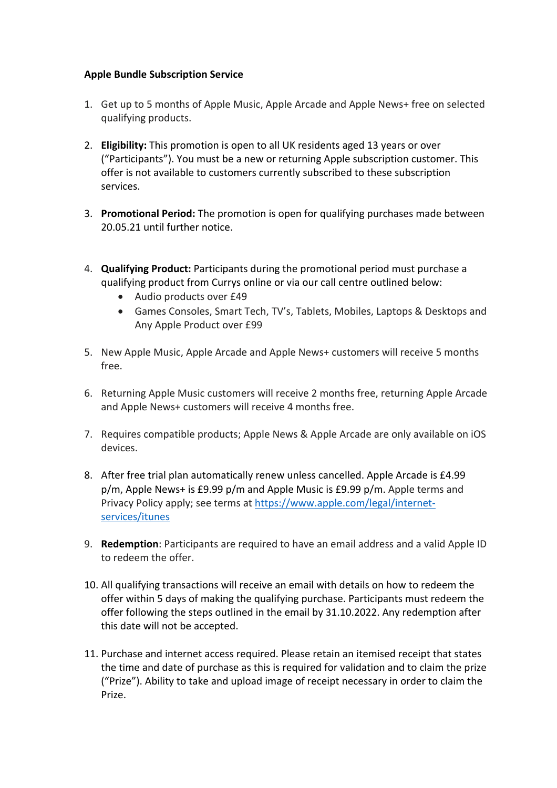## **Apple Bundle Subscription Service**

- 1. Get up to 5 months of Apple Music, Apple Arcade and Apple News+ free on selected qualifying products.
- 2. **Eligibility:** This promotion is open to all UK residents aged 13 years or over ("Participants"). You must be a new or returning Apple subscription customer. This offer is not available to customers currently subscribed to these subscription services.
- 3. **Promotional Period:** The promotion is open for qualifying purchases made between 20.05.21 until further notice.
- 4. **Qualifying Product:** Participants during the promotional period must purchase a qualifying product from Currys online or via our call centre outlined below:
	- Audio products over £49
	- Games Consoles, Smart Tech, TV's, Tablets, Mobiles, Laptops & Desktops and Any Apple Product over £99
- 5. New Apple Music, Apple Arcade and Apple News+ customers will receive 5 months free.
- 6. Returning Apple Music customers will receive 2 months free, returning Apple Arcade and Apple News+ customers will receive 4 months free.
- 7. Requires compatible products; Apple News & Apple Arcade are only available on iOS devices.
- 8. After free trial plan automatically renew unless cancelled. Apple Arcade is £4.99 p/m, Apple News+ is £9.99 p/m and Apple Music is £9.99 p/m. Apple terms and Privacy Policy apply; see terms at https://www.apple.com/legal/internetservices/itunes
- 9. **Redemption**: Participants are required to have an email address and a valid Apple ID to redeem the offer.
- 10. All qualifying transactions will receive an email with details on how to redeem the offer within 5 days of making the qualifying purchase. Participants must redeem the offer following the steps outlined in the email by 31.10.2022. Any redemption after this date will not be accepted.
- 11. Purchase and internet access required. Please retain an itemised receipt that states the time and date of purchase as this is required for validation and to claim the prize ("Prize"). Ability to take and upload image of receipt necessary in order to claim the Prize.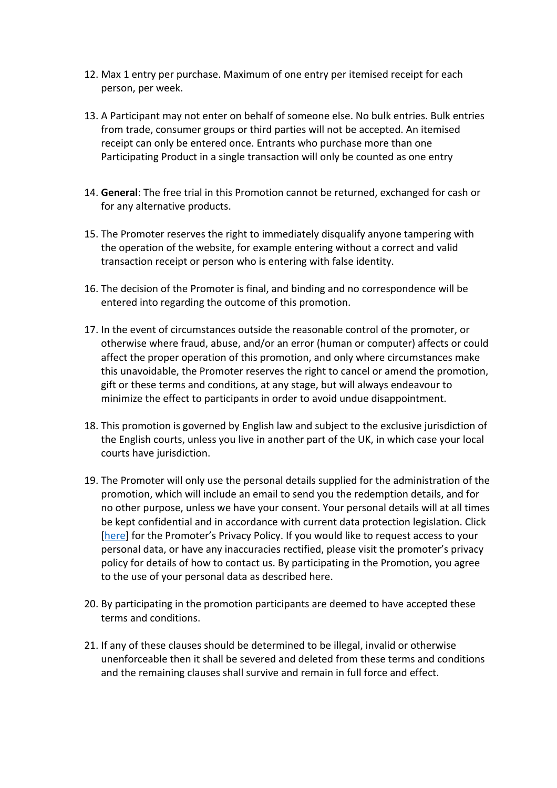- 12. Max 1 entry per purchase. Maximum of one entry per itemised receipt for each person, per week.
- 13. A Participant may not enter on behalf of someone else. No bulk entries. Bulk entries from trade, consumer groups or third parties will not be accepted. An itemised receipt can only be entered once. Entrants who purchase more than one Participating Product in a single transaction will only be counted as one entry
- 14. **General**: The free trial in this Promotion cannot be returned, exchanged for cash or for any alternative products.
- 15. The Promoter reserves the right to immediately disqualify anyone tampering with the operation of the website, for example entering without a correct and valid transaction receipt or person who is entering with false identity.
- 16. The decision of the Promoter is final, and binding and no correspondence will be entered into regarding the outcome of this promotion.
- 17. In the event of circumstances outside the reasonable control of the promoter, or otherwise where fraud, abuse, and/or an error (human or computer) affects or could affect the proper operation of this promotion, and only where circumstances make this unavoidable, the Promoter reserves the right to cancel or amend the promotion, gift or these terms and conditions, at any stage, but will always endeavour to minimize the effect to participants in order to avoid undue disappointment.
- 18. This promotion is governed by English law and subject to the exclusive jurisdiction of the English courts, unless you live in another part of the UK, in which case your local courts have jurisdiction.
- 19. The Promoter will only use the personal details supplied for the administration of the promotion, which will include an email to send you the redemption details, and for no other purpose, unless we have your consent. Your personal details will at all times be kept confidential and in accordance with current data protection legislation. Click [here] for the Promoter's Privacy Policy. If you would like to request access to your personal data, or have any inaccuracies rectified, please visit the promoter's privacy policy for details of how to contact us. By participating in the Promotion, you agree to the use of your personal data as described here.
- 20. By participating in the promotion participants are deemed to have accepted these terms and conditions.
- 21. If any of these clauses should be determined to be illegal, invalid or otherwise unenforceable then it shall be severed and deleted from these terms and conditions and the remaining clauses shall survive and remain in full force and effect.